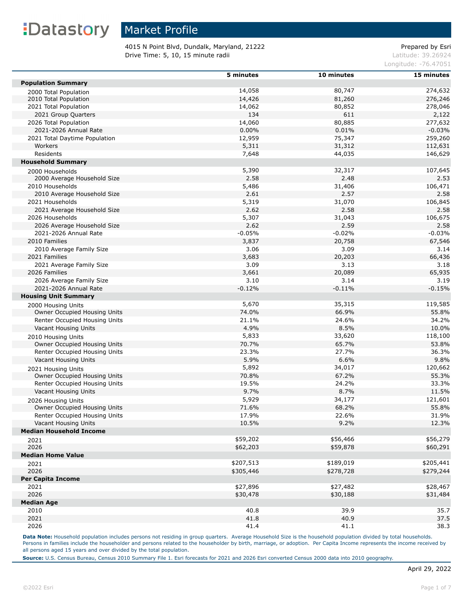### Market Profile

4015 N Point Blvd, Dundalk, Maryland, 21222 Prepared by Esri **Drive Time: 5, 10, 15 minute radii Latitude: 39.26924** Latitude: 39.26924

Longitude: -76.47051

|                                     | 5 minutes | 10 minutes | 15 minutes |
|-------------------------------------|-----------|------------|------------|
| <b>Population Summary</b>           |           |            |            |
| 2000 Total Population               | 14,058    | 80,747     | 274,632    |
| 2010 Total Population               | 14,426    | 81,260     | 276,246    |
| 2021 Total Population               | 14,062    | 80,852     | 278,046    |
| 2021 Group Quarters                 | 134       | 611        | 2,122      |
| 2026 Total Population               | 14,060    | 80,885     | 277,632    |
| 2021-2026 Annual Rate               | 0.00%     | 0.01%      | $-0.03%$   |
| 2021 Total Daytime Population       | 12,959    | 75,347     | 259,260    |
| Workers                             | 5,311     | 31,312     | 112,631    |
| Residents                           | 7,648     | 44,035     | 146,629    |
| <b>Household Summary</b>            |           |            |            |
|                                     | 5,390     |            |            |
| 2000 Households                     |           | 32,317     | 107,645    |
| 2000 Average Household Size         | 2.58      | 2.48       | 2.53       |
| 2010 Households                     | 5,486     | 31,406     | 106,471    |
| 2010 Average Household Size         | 2.61      | 2.57       | 2.58       |
| 2021 Households                     | 5,319     | 31,070     | 106,845    |
| 2021 Average Household Size         | 2.62      | 2.58       | 2.58       |
| 2026 Households                     | 5,307     | 31,043     | 106,675    |
| 2026 Average Household Size         | 2.62      | 2.59       | 2.58       |
| 2021-2026 Annual Rate               | $-0.05%$  | $-0.02%$   | $-0.03%$   |
| 2010 Families                       | 3,837     | 20,758     | 67,546     |
| 2010 Average Family Size            | 3.06      | 3.09       | 3.14       |
| 2021 Families                       | 3,683     | 20,203     | 66,436     |
| 2021 Average Family Size            | 3.09      | 3.13       | 3.18       |
| 2026 Families                       | 3,661     | 20,089     | 65,935     |
| 2026 Average Family Size            | 3.10      | 3.14       | 3.19       |
| 2021-2026 Annual Rate               | $-0.12%$  | $-0.11%$   | $-0.15%$   |
| <b>Housing Unit Summary</b>         |           |            |            |
| 2000 Housing Units                  | 5,670     | 35,315     | 119,585    |
| Owner Occupied Housing Units        | 74.0%     | 66.9%      | 55.8%      |
| Renter Occupied Housing Units       | 21.1%     | 24.6%      | 34.2%      |
| Vacant Housing Units                | 4.9%      | 8.5%       | 10.0%      |
| 2010 Housing Units                  | 5,833     | 33,620     | 118,100    |
| Owner Occupied Housing Units        | 70.7%     | 65.7%      | 53.8%      |
| Renter Occupied Housing Units       | 23.3%     | 27.7%      | 36.3%      |
| Vacant Housing Units                | 5.9%      | 6.6%       | 9.8%       |
| 2021 Housing Units                  | 5,892     | 34,017     | 120,662    |
| Owner Occupied Housing Units        | 70.8%     | 67.2%      | 55.3%      |
| Renter Occupied Housing Units       | 19.5%     | 24.2%      | 33.3%      |
| Vacant Housing Units                | 9.7%      | 8.7%       | 11.5%      |
| 2026 Housing Units                  | 5,929     | 34,177     | 121,601    |
| <b>Owner Occupied Housing Units</b> | 71.6%     | 68.2%      | 55.8%      |
| Renter Occupied Housing Units       | 17.9%     | 22.6%      | 31.9%      |
| Vacant Housing Units                | 10.5%     | 9.2%       | 12.3%      |
| <b>Median Household Income</b>      |           |            |            |
| 2021                                | \$59,202  | \$56,466   | \$56,279   |
| 2026                                | \$62,203  | \$59,878   | \$60,291   |
| <b>Median Home Value</b>            |           |            |            |
|                                     | \$207,513 | \$189,019  | \$205,441  |
| 2021<br>2026                        |           |            |            |
|                                     | \$305,446 | \$278,728  | \$279,244  |
| <b>Per Capita Income</b>            |           |            |            |
| 2021                                | \$27,896  | \$27,482   | \$28,467   |
| 2026                                | \$30,478  | \$30,188   | \$31,484   |
| <b>Median Age</b>                   |           |            |            |
| 2010                                | 40.8      | 39.9       | 35.7       |
| 2021                                | 41.8      | 40.9       | 37.5       |
| 2026                                | 41.4      | 41.1       | 38.3       |

Data Note: Household population includes persons not residing in group quarters. Average Household Size is the household population divided by total households. Persons in families include the householder and persons related to the householder by birth, marriage, or adoption. Per Capita Income represents the income received by all persons aged 15 years and over divided by the total population.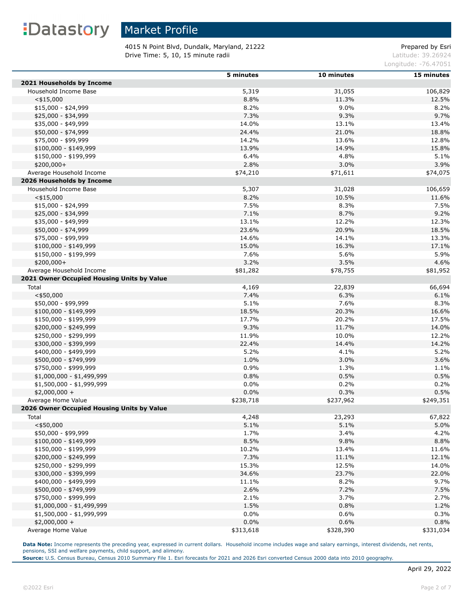### Market Profile

4015 N Point Blvd, Dundalk, Maryland, 21222 Prepared by Esri **Drive Time: 5, 10, 15 minute radii Latitude: 39.26924** Latitude: 39.26924

Longitude: -76.47051

|                                            | 5 minutes | 10 minutes | 15 minutes |
|--------------------------------------------|-----------|------------|------------|
| 2021 Households by Income                  |           |            |            |
| Household Income Base                      | 5,319     | 31,055     | 106,829    |
| $<$ \$15,000                               | 8.8%      | 11.3%      | 12.5%      |
| $$15,000 - $24,999$                        | 8.2%      | 9.0%       | 8.2%       |
| \$25,000 - \$34,999                        | 7.3%      | 9.3%       | 9.7%       |
| \$35,000 - \$49,999                        | 14.0%     | 13.1%      | 13.4%      |
| \$50,000 - \$74,999                        | 24.4%     | 21.0%      | 18.8%      |
| \$75,000 - \$99,999                        | 14.2%     | 13.6%      | 12.8%      |
| $$100,000 - $149,999$                      | 13.9%     | 14.9%      | 15.8%      |
| \$150,000 - \$199,999                      | 6.4%      | 4.8%       | 5.1%       |
| $$200,000+$                                | 2.8%      | 3.0%       | 3.9%       |
| Average Household Income                   | \$74,210  | \$71,611   | \$74,075   |
| 2026 Households by Income                  |           |            |            |
| Household Income Base                      | 5,307     | 31,028     | 106,659    |
| $<$ \$15,000                               | 8.2%      | 10.5%      | 11.6%      |
| $$15,000 - $24,999$                        | 7.5%      | 8.3%       | 7.5%       |
| \$25,000 - \$34,999                        | 7.1%      | 8.7%       | 9.2%       |
| \$35,000 - \$49,999                        | 13.1%     | 12.2%      | 12.3%      |
| \$50,000 - \$74,999                        | 23.6%     | 20.9%      | 18.5%      |
| \$75,000 - \$99,999                        | 14.6%     | 14.1%      | 13.3%      |
| $$100,000 - $149,999$                      | 15.0%     | 16.3%      | 17.1%      |
| \$150,000 - \$199,999                      | 7.6%      | 5.6%       | 5.9%       |
| $$200,000+$                                | 3.2%      | 3.5%       | 4.6%       |
| Average Household Income                   | \$81,282  | \$78,755   | \$81,952   |
| 2021 Owner Occupied Housing Units by Value |           |            |            |
| Total                                      | 4,169     | 22,839     | 66,694     |
| $<$ \$50,000                               | 7.4%      | 6.3%       | 6.1%       |
| \$50,000 - \$99,999                        | 5.1%      | 7.6%       | 8.3%       |
| $$100,000 - $149,999$                      | 18.5%     | 20.3%      | 16.6%      |
| \$150,000 - \$199,999                      | 17.7%     | 20.2%      | 17.5%      |
| \$200,000 - \$249,999                      | 9.3%      | 11.7%      | 14.0%      |
| \$250,000 - \$299,999                      | 11.9%     | 10.0%      | 12.2%      |
| \$300,000 - \$399,999                      | 22.4%     | 14.4%      | 14.2%      |
| \$400,000 - \$499,999                      | 5.2%      | 4.1%       | 5.2%       |
| \$500,000 - \$749,999                      | 1.0%      | 3.0%       | 3.6%       |
| \$750,000 - \$999,999                      | 0.9%      | 1.3%       | 1.1%       |
| $$1,000,000 - $1,499,999$                  | 0.8%      | 0.5%       | 0.5%       |
| \$1,500,000 - \$1,999,999                  | 0.0%      | 0.2%       | 0.2%       |
| $$2,000,000 +$                             | 0.0%      | 0.3%       | 0.5%       |
| Average Home Value                         | \$238,718 | \$237,962  | \$249,351  |
| 2026 Owner Occupied Housing Units by Value |           |            |            |
| Total                                      | 4,248     | 23,293     | 67,822     |
| $<$ \$50,000                               | 5.1%      | 5.1%       | 5.0%       |
| \$50,000 - \$99,999                        | 1.7%      | 3.4%       | 4.2%       |
| $$100,000 - $149,999$                      | 8.5%      | 9.8%       | 8.8%       |
| \$150,000 - \$199,999                      | 10.2%     | 13.4%      | 11.6%      |
| \$200,000 - \$249,999                      | 7.3%      | 11.1%      | 12.1%      |
| \$250,000 - \$299,999                      | 15.3%     | 12.5%      | 14.0%      |
| \$300,000 - \$399,999                      | 34.6%     | 23.7%      | 22.0%      |
| \$400,000 - \$499,999                      | 11.1%     | 8.2%       | 9.7%       |
| \$500,000 - \$749,999                      | 2.6%      | 7.2%       | 7.5%       |
| \$750,000 - \$999,999                      | 2.1%      | 3.7%       | 2.7%       |
| $$1,000,000 - $1,499,999$                  | 1.5%      | 0.8%       | 1.2%       |
| \$1,500,000 - \$1,999,999                  | 0.0%      | 0.6%       | 0.3%       |
| $$2,000,000 +$                             | 0.0%      | 0.6%       | 0.8%       |
| Average Home Value                         | \$313,618 | \$328,390  | \$331,034  |

**Data Note:** Income represents the preceding year, expressed in current dollars. Household income includes wage and salary earnings, interest dividends, net rents, pensions, SSI and welfare payments, child support, and alimony.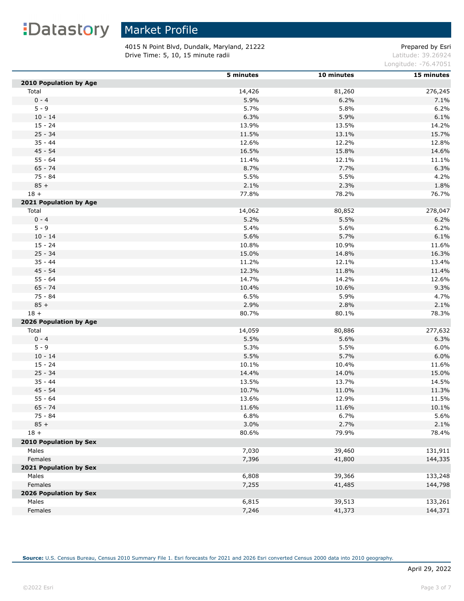### Market Profile

4015 N Point Blvd, Dundalk, Maryland, 21222 Prepared by Esri **Drive Time: 5, 10, 15 minute radii Latitude: 39.26924** Latitude: 39.26924

Longitude: -76.47051

|                        | 5 minutes | 10 minutes | 15 minutes |
|------------------------|-----------|------------|------------|
| 2010 Population by Age |           |            |            |
| Total                  | 14,426    | 81,260     | 276,245    |
| $0 - 4$                | 5.9%      | 6.2%       | 7.1%       |
| $5 - 9$                | 5.7%      | 5.8%       | 6.2%       |
| $10 - 14$              | 6.3%      | 5.9%       | 6.1%       |
| $15 - 24$              | 13.9%     | 13.5%      | 14.2%      |
| $25 - 34$              | 11.5%     | 13.1%      | 15.7%      |
| $35 - 44$              | 12.6%     | 12.2%      | 12.8%      |
| $45 - 54$              | 16.5%     | 15.8%      | 14.6%      |
| $55 - 64$              | 11.4%     | 12.1%      | 11.1%      |
| $65 - 74$              | 8.7%      | 7.7%       | 6.3%       |
| $75 - 84$              | 5.5%      | 5.5%       | 4.2%       |
| $85 +$                 | 2.1%      | 2.3%       | 1.8%       |
| $18 +$                 | 77.8%     | 78.2%      | 76.7%      |
| 2021 Population by Age |           |            |            |
| Total                  | 14,062    | 80,852     | 278,047    |
| $0 - 4$                | 5.2%      | 5.5%       | 6.2%       |
| $5 - 9$                | 5.4%      | 5.6%       | 6.2%       |
| $10 - 14$              | 5.6%      | 5.7%       | 6.1%       |
| $15 - 24$              | 10.8%     | 10.9%      | 11.6%      |
| $25 - 34$              | 15.0%     | 14.8%      | 16.3%      |
| $35 - 44$              | 11.2%     | 12.1%      | 13.4%      |
| $45 - 54$              | 12.3%     | 11.8%      | 11.4%      |
| $55 - 64$              | 14.7%     | 14.2%      | 12.6%      |
| $65 - 74$              | 10.4%     | 10.6%      | 9.3%       |
| 75 - 84                | 6.5%      | 5.9%       | 4.7%       |
| $85 +$                 | 2.9%      | 2.8%       | 2.1%       |
| $18 +$                 | 80.7%     | 80.1%      | 78.3%      |
| 2026 Population by Age |           |            |            |
| Total                  | 14,059    | 80,886     | 277,632    |
| $0 - 4$                | 5.5%      | 5.6%       | 6.3%       |
| $5 - 9$                | 5.3%      | 5.5%       | 6.0%       |
| $10 - 14$              | 5.5%      | 5.7%       | 6.0%       |
| $15 - 24$              | 10.1%     | 10.4%      | 11.6%      |
| $25 - 34$              | 14.4%     | 14.0%      | 15.0%      |
| $35 - 44$              | 13.5%     | 13.7%      | 14.5%      |
| 45 - 54                | 10.7%     | 11.0%      | 11.3%      |
| $55 - 64$              | 13.6%     | 12.9%      | 11.5%      |
| $65 - 74$              | 11.6%     | 11.6%      | 10.1%      |
| 75 - 84                | 6.8%      | 6.7%       | 5.6%       |
| $85 +$                 | 3.0%      | 2.7%       | 2.1%       |
| $18 +$                 | 80.6%     | 79.9%      | 78.4%      |
| 2010 Population by Sex |           |            |            |
| Males                  | 7,030     | 39,460     | 131,911    |
| Females                | 7,396     | 41,800     | 144,335    |
| 2021 Population by Sex |           |            |            |
| Males                  | 6,808     | 39,366     | 133,248    |
| Females                | 7,255     | 41,485     | 144,798    |
| 2026 Population by Sex |           |            |            |
| Males                  | 6,815     | 39,513     | 133,261    |
| Females                | 7,246     | 41,373     | 144,371    |
|                        |           |            |            |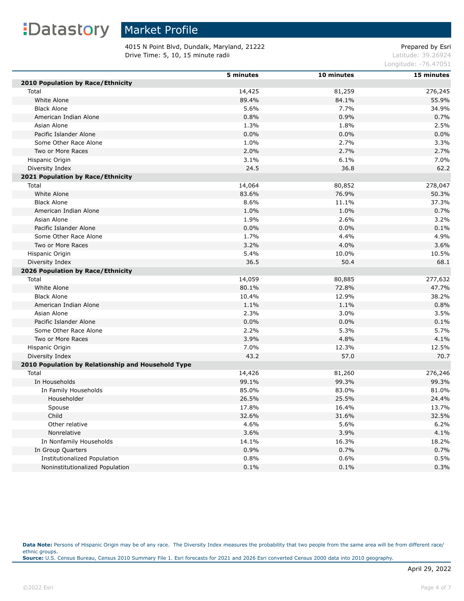## Market Profile

4015 N Point Blvd, Dundalk, Maryland, 21222 Prepared by Esri **Drive Time: 5, 10, 15 minute radii Latitude: 39.26924** Latitude: 39.26924

Longitude: -76.47051

|                                                    | 5 minutes | 10 minutes | 15 minutes |
|----------------------------------------------------|-----------|------------|------------|
| 2010 Population by Race/Ethnicity                  |           |            |            |
| Total                                              | 14,425    | 81,259     | 276,245    |
| White Alone                                        | 89.4%     | 84.1%      | 55.9%      |
| <b>Black Alone</b>                                 | 5.6%      | 7.7%       | 34.9%      |
| American Indian Alone                              | 0.8%      | 0.9%       | 0.7%       |
| Asian Alone                                        | 1.3%      | 1.8%       | 2.5%       |
| Pacific Islander Alone                             | 0.0%      | 0.0%       | 0.0%       |
| Some Other Race Alone                              | 1.0%      | 2.7%       | 3.3%       |
| Two or More Races                                  | 2.0%      | 2.7%       | 2.7%       |
| Hispanic Origin                                    | 3.1%      | 6.1%       | 7.0%       |
| Diversity Index                                    | 24.5      | 36.8       | 62.2       |
| 2021 Population by Race/Ethnicity                  |           |            |            |
| Total                                              | 14,064    | 80,852     | 278,047    |
| White Alone                                        | 83.6%     | 76.9%      | 50.3%      |
| <b>Black Alone</b>                                 | 8.6%      | 11.1%      | 37.3%      |
| American Indian Alone                              | 1.0%      | 1.0%       | 0.7%       |
| Asian Alone                                        | 1.9%      | 2.6%       | 3.2%       |
| Pacific Islander Alone                             | 0.0%      | 0.0%       | 0.1%       |
| Some Other Race Alone                              | 1.7%      | 4.4%       | 4.9%       |
| Two or More Races                                  | 3.2%      | 4.0%       | 3.6%       |
| Hispanic Origin                                    | 5.4%      | 10.0%      | 10.5%      |
| Diversity Index                                    | 36.5      | 50.4       | 68.1       |
| 2026 Population by Race/Ethnicity                  |           |            |            |
| Total                                              | 14,059    | 80,885     | 277,632    |
| White Alone                                        | 80.1%     | 72.8%      | 47.7%      |
| <b>Black Alone</b>                                 | 10.4%     | 12.9%      | 38.2%      |
| American Indian Alone                              | 1.1%      | 1.1%       | 0.8%       |
| Asian Alone                                        | 2.3%      | 3.0%       | 3.5%       |
| Pacific Islander Alone                             | 0.0%      | 0.0%       | 0.1%       |
| Some Other Race Alone                              | 2.2%      | 5.3%       | 5.7%       |
| Two or More Races                                  | 3.9%      | 4.8%       | 4.1%       |
| Hispanic Origin                                    | 7.0%      | 12.3%      | 12.5%      |
| Diversity Index                                    | 43.2      | 57.0       | 70.7       |
| 2010 Population by Relationship and Household Type |           |            |            |
| Total                                              | 14,426    | 81,260     | 276,246    |
| In Households                                      | 99.1%     | 99.3%      | 99.3%      |
| In Family Households                               | 85.0%     | 83.0%      | 81.0%      |
| Householder                                        | 26.5%     | 25.5%      | 24.4%      |
| Spouse                                             | 17.8%     | 16.4%      | 13.7%      |
| Child                                              | 32.6%     | 31.6%      | 32.5%      |
| Other relative                                     | 4.6%      | 5.6%       | 6.2%       |
| Nonrelative                                        | 3.6%      | 3.9%       | 4.1%       |
| In Nonfamily Households                            | 14.1%     | 16.3%      | 18.2%      |
| In Group Quarters                                  | 0.9%      | 0.7%       | 0.7%       |
| <b>Institutionalized Population</b>                | 0.8%      | 0.6%       | 0.5%       |
| Noninstitutionalized Population                    | 0.1%      | 0.1%       | 0.3%       |

Data Note: Persons of Hispanic Origin may be of any race. The Diversity Index measures the probability that two people from the same area will be from different race/ ethnic groups. **Source:** U.S. Census Bureau, Census 2010 Summary File 1. Esri forecasts for 2021 and 2026 Esri converted Census 2000 data into 2010 geography.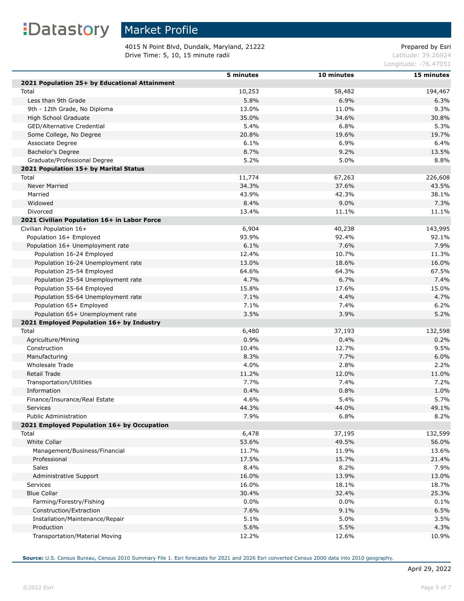# : Datastory Market Profile

Г

4015 N Point Blvd, Dundalk, Maryland, 21222 Prepared by Esri **Drive Time: 5, 10, 15 minute radii Latitude: 39.26924** Latitude: 39.26924

Longitude: -76.47051

|                                               | 5 minutes | 10 minutes | 15 minutes |
|-----------------------------------------------|-----------|------------|------------|
| 2021 Population 25+ by Educational Attainment |           |            |            |
| Total                                         | 10,253    | 58,482     | 194,467    |
| Less than 9th Grade                           | 5.8%      | 6.9%       | 6.3%       |
| 9th - 12th Grade, No Diploma                  | 13.0%     | 11.0%      | 9.3%       |
| High School Graduate                          | 35.0%     | 34.6%      | 30.8%      |
| GED/Alternative Credential                    | 5.4%      | 6.8%       | 5.3%       |
| Some College, No Degree                       | 20.8%     | 19.6%      | 19.7%      |
| Associate Degree                              | 6.1%      | 6.9%       | 6.4%       |
| Bachelor's Degree                             | 8.7%      | 9.2%       | 13.5%      |
| Graduate/Professional Degree                  | 5.2%      | 5.0%       | 8.8%       |
| 2021 Population 15+ by Marital Status         |           |            |            |
| Total                                         | 11,774    | 67,263     | 226,608    |
| <b>Never Married</b>                          | 34.3%     | 37.6%      | 43.5%      |
| Married                                       | 43.9%     | 42.3%      | 38.1%      |
| Widowed                                       | 8.4%      | 9.0%       | 7.3%       |
| Divorced                                      | 13.4%     | 11.1%      | 11.1%      |
| 2021 Civilian Population 16+ in Labor Force   |           |            |            |
| Civilian Population 16+                       | 6,904     | 40,238     | 143,995    |
| Population 16+ Employed                       | 93.9%     | 92.4%      | 92.1%      |
| Population 16+ Unemployment rate              | 6.1%      | 7.6%       | 7.9%       |
| Population 16-24 Employed                     | 12.4%     | 10.7%      | 11.3%      |
| Population 16-24 Unemployment rate            | 13.0%     | 18.6%      | 16.0%      |
| Population 25-54 Employed                     | 64.6%     | 64.3%      | 67.5%      |
| Population 25-54 Unemployment rate            | 4.7%      | 6.7%       | 7.4%       |
| Population 55-64 Employed                     | 15.8%     | 17.6%      | 15.0%      |
| Population 55-64 Unemployment rate            | 7.1%      | 4.4%       | 4.7%       |
| Population 65+ Employed                       | 7.1%      | 7.4%       | 6.2%       |
| Population 65+ Unemployment rate              | 3.5%      | 3.9%       | 5.2%       |
|                                               |           |            |            |
| 2021 Employed Population 16+ by Industry      |           |            |            |
| Total                                         | 6,480     | 37,193     | 132,598    |
| Agriculture/Mining                            | 0.9%      | 0.4%       | 0.2%       |
| Construction                                  | 10.4%     | 12.7%      | 9.5%       |
| Manufacturing                                 | 8.3%      | 7.7%       | 6.0%       |
| Wholesale Trade                               | 4.0%      | 2.8%       | 2.2%       |
| Retail Trade                                  | 11.2%     | 12.0%      | 11.0%      |
| Transportation/Utilities                      | 7.7%      | 7.4%       | 7.2%       |
| Information                                   | 0.4%      | 0.8%       | 1.0%       |
| Finance/Insurance/Real Estate                 | 4.6%      | 5.4%       | 5.7%       |
| Services                                      | 44.3%     | 44.0%      | 49.1%      |
| <b>Public Administration</b>                  | 7.9%      | 6.8%       | 8.2%       |
| 2021 Employed Population 16+ by Occupation    |           |            |            |
| Total                                         | 6,478     | 37,195     | 132,599    |
| White Collar                                  | 53.6%     | 49.5%      | 56.0%      |
| Management/Business/Financial                 | 11.7%     | 11.9%      | 13.6%      |
| Professional                                  | 17.5%     | 15.7%      | 21.4%      |
| Sales                                         | 8.4%      | 8.2%       | 7.9%       |
| Administrative Support                        | 16.0%     | 13.9%      | 13.0%      |
| Services                                      | 16.0%     | 18.1%      | 18.7%      |
| <b>Blue Collar</b>                            | 30.4%     | 32.4%      | 25.3%      |
| Farming/Forestry/Fishing                      | 0.0%      | $0.0\%$    | 0.1%       |
| Construction/Extraction                       | 7.6%      | 9.1%       | 6.5%       |
| Installation/Maintenance/Repair               | 5.1%      | 5.0%       | 3.5%       |
| Production                                    | 5.6%      | 5.5%       | 4.3%       |
| Transportation/Material Moving                | 12.2%     | 12.6%      | 10.9%      |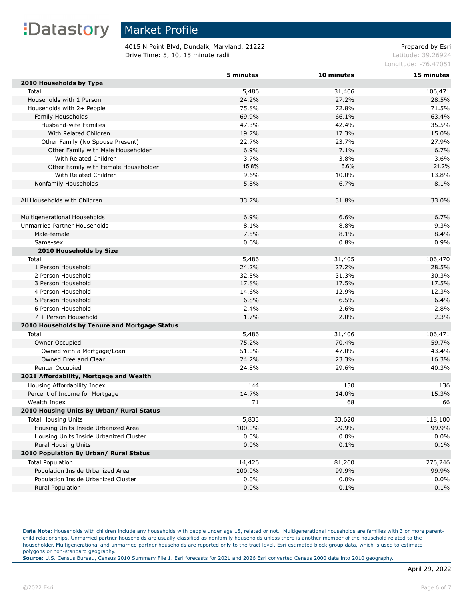## Market Profile

4015 N Point Blvd, Dundalk, Maryland, 21222 Prepared by Esri **Drive Time: 5, 10, 15 minute radii Latitude: 39.26924** Latitude: 39.26924

Longitude: -76.47051

|                                               | 5 minutes      | 10 minutes      | 15 minutes       |
|-----------------------------------------------|----------------|-----------------|------------------|
| 2010 Households by Type                       |                |                 |                  |
| Total                                         | 5,486          | 31,406          | 106,471          |
| Households with 1 Person                      | 24.2%          | 27.2%           | 28.5%            |
| Households with 2+ People                     | 75.8%          | 72.8%           | 71.5%            |
| Family Households                             | 69.9%          | 66.1%           | 63.4%            |
| Husband-wife Families                         | 47.3%          | 42.4%           | 35.5%            |
| With Related Children                         | 19.7%          | 17.3%           | 15.0%            |
| Other Family (No Spouse Present)              | 22.7%          | 23.7%           | 27.9%            |
| Other Family with Male Householder            | 6.9%           | 7.1%            | 6.7%             |
| With Related Children                         | 3.7%           | 3.8%            | 3.6%             |
| Other Family with Female Householder          | 15.8%          | 16.6%           | 21.2%            |
| With Related Children                         | 9.6%           | 10.0%           | 13.8%            |
| Nonfamily Households                          | 5.8%           | 6.7%            | 8.1%             |
|                                               |                |                 |                  |
| All Households with Children                  | 33.7%          | 31.8%           | 33.0%            |
|                                               |                |                 |                  |
| Multigenerational Households                  | 6.9%           | 6.6%            | 6.7%             |
| Unmarried Partner Households                  | 8.1%           | 8.8%            | 9.3%             |
| Male-female                                   | 7.5%           | 8.1%            | 8.4%             |
| Same-sex                                      | 0.6%           | 0.8%            | 0.9%             |
| 2010 Households by Size                       |                |                 |                  |
|                                               |                |                 |                  |
| Total<br>1 Person Household                   | 5,486<br>24.2% | 31,405<br>27.2% | 106,470<br>28.5% |
| 2 Person Household                            |                |                 |                  |
| 3 Person Household                            | 32.5%<br>17.8% | 31.3%<br>17.5%  | 30.3%<br>17.5%   |
| 4 Person Household                            | 14.6%          | 12.9%           |                  |
|                                               | 6.8%           | 6.5%            | 12.3%<br>6.4%    |
| 5 Person Household                            |                |                 |                  |
| 6 Person Household                            | 2.4%           | 2.6%            | 2.8%             |
| 7 + Person Household                          | 1.7%           | 2.0%            | 2.3%             |
| 2010 Households by Tenure and Mortgage Status |                |                 |                  |
| Total                                         | 5,486          | 31,406          | 106,471          |
| Owner Occupied                                | 75.2%          | 70.4%           | 59.7%            |
| Owned with a Mortgage/Loan                    | 51.0%          | 47.0%           | 43.4%            |
| Owned Free and Clear                          | 24.2%          | 23.3%           | 16.3%            |
| Renter Occupied                               | 24.8%          | 29.6%           | 40.3%            |
| 2021 Affordability, Mortgage and Wealth       |                |                 |                  |
| Housing Affordability Index                   | 144            | 150             | 136              |
| Percent of Income for Mortgage                | 14.7%          | 14.0%           | 15.3%            |
| Wealth Index                                  | 71             | 68              | 66               |
| 2010 Housing Units By Urban/ Rural Status     |                |                 |                  |
| <b>Total Housing Units</b>                    | 5,833          | 33,620          | 118,100          |
| Housing Units Inside Urbanized Area           | 100.0%         | 99.9%           | 99.9%            |
| Housing Units Inside Urbanized Cluster        | $0.0\%$        | $0.0\%$         | 0.0%             |
| <b>Rural Housing Units</b>                    | 0.0%           | 0.1%            | 0.1%             |
| 2010 Population By Urban/ Rural Status        |                |                 |                  |
| <b>Total Population</b>                       | 14,426         | 81,260          | 276,246          |
| Population Inside Urbanized Area              | 100.0%         | 99.9%           | 99.9%            |
| Population Inside Urbanized Cluster           | 0.0%           | $0.0\%$         | 0.0%             |
| Rural Population                              | 0.0%           | 0.1%            | 0.1%             |
|                                               |                |                 |                  |

Data Note: Households with children include any households with people under age 18, related or not. Multigenerational households are families with 3 or more parentchild relationships. Unmarried partner households are usually classified as nonfamily households unless there is another member of the household related to the householder. Multigenerational and unmarried partner households are reported only to the tract level. Esri estimated block group data, which is used to estimate polygons or non-standard geography.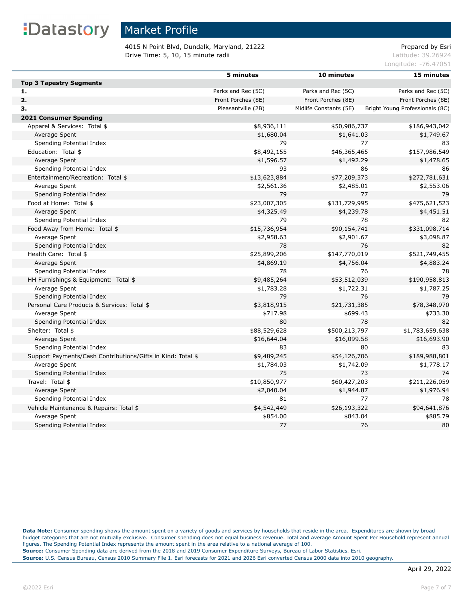### Market Profile

4015 N Point Blvd, Dundalk, Maryland, 21222 Prepared by Esri **Drive Time: 5, 10, 15 minute radii Latitude: 39.26924** Latitude: 39.26924

Longitude: -76.47051

|                                                             | 5 minutes          | 10 minutes             | 15 minutes                      |
|-------------------------------------------------------------|--------------------|------------------------|---------------------------------|
| <b>Top 3 Tapestry Segments</b>                              |                    |                        |                                 |
| 1.                                                          | Parks and Rec (5C) | Parks and Rec (5C)     | Parks and Rec (5C)              |
| 2.                                                          | Front Porches (8E) | Front Porches (8E)     | Front Porches (8E)              |
| З.                                                          | Pleasantville (2B) | Midlife Constants (5E) | Bright Young Professionals (8C) |
| 2021 Consumer Spending                                      |                    |                        |                                 |
| Apparel & Services: Total \$                                | \$8,936,111        | \$50,986,737           | \$186,943,042                   |
| Average Spent                                               | \$1,680.04         | \$1,641.03             | \$1,749.67                      |
| Spending Potential Index                                    | 79                 | 77                     | 83                              |
| Education: Total \$                                         | \$8,492,155        | \$46,365,465           | \$157,986,549                   |
| Average Spent                                               | \$1,596.57         | \$1,492.29             | \$1,478.65                      |
| Spending Potential Index                                    | 93                 | 86                     | 86                              |
| Entertainment/Recreation: Total \$                          | \$13,623,884       | \$77,209,373           | \$272,781,631                   |
| Average Spent                                               | \$2,561.36         | \$2,485.01             | \$2,553.06                      |
| Spending Potential Index                                    | 79                 | 77                     | 79                              |
| Food at Home: Total \$                                      | \$23,007,305       | \$131,729,995          | \$475,621,523                   |
| Average Spent                                               | \$4,325.49         | \$4,239.78             | \$4,451.51                      |
| Spending Potential Index                                    | 79                 | 78                     | 82                              |
| Food Away from Home: Total \$                               | \$15,736,954       | \$90,154,741           | \$331,098,714                   |
| Average Spent                                               | \$2,958.63         | \$2,901.67             | \$3,098.87                      |
| Spending Potential Index                                    | 78                 | 76                     | 82                              |
| Health Care: Total \$                                       | \$25,899,206       | \$147,770,019          | \$521,749,455                   |
| Average Spent                                               | \$4,869.19         | \$4,756.04             | \$4,883.24                      |
| Spending Potential Index                                    | 78                 | 76                     | 78                              |
| HH Furnishings & Equipment: Total \$                        | \$9,485,264        | \$53,512,039           | \$190,958,813                   |
| Average Spent                                               | \$1,783.28         | \$1,722.31             | \$1,787.25                      |
| Spending Potential Index                                    | 79                 | 76                     | 79                              |
| Personal Care Products & Services: Total \$                 | \$3,818,915        | \$21,731,385           | \$78,348,970                    |
| Average Spent                                               | \$717.98           | \$699.43               | \$733.30                        |
| Spending Potential Index                                    | 80                 | 78                     | 82                              |
| Shelter: Total \$                                           | \$88,529,628       | \$500,213,797          | \$1,783,659,638                 |
| Average Spent                                               | \$16,644.04        | \$16,099.58            | \$16,693.90                     |
| Spending Potential Index                                    | 83                 | 80                     | 83                              |
| Support Payments/Cash Contributions/Gifts in Kind: Total \$ | \$9,489,245        | \$54,126,706           | \$189,988,801                   |
| Average Spent                                               | \$1,784.03         | \$1,742.09             | \$1,778.17                      |
| Spending Potential Index                                    | 75                 | 73                     | 74                              |
| Travel: Total \$                                            | \$10,850,977       | \$60,427,203           | \$211,226,059                   |
|                                                             |                    |                        |                                 |
| Average Spent                                               | \$2,040.04         | \$1,944.87             | \$1,976.94                      |
| Spending Potential Index                                    | 81                 | 77                     | 78                              |
| Vehicle Maintenance & Repairs: Total \$                     | \$4,542,449        | \$26,193,322           | \$94,641,876                    |
| Average Spent                                               | \$854.00           | \$843.04               | \$885.79                        |
| Spending Potential Index                                    | 77                 | 76                     | 80                              |

**Data Note:** Consumer spending shows the amount spent on a variety of goods and services by households that reside in the area. Expenditures are shown by broad budget categories that are not mutually exclusive. Consumer spending does not equal business revenue. Total and Average Amount Spent Per Household represent annual figures. The Spending Potential Index represents the amount spent in the area relative to a national average of 100. **Source:** Consumer Spending data are derived from the 2018 and 2019 Consumer Expenditure Surveys, Bureau of Labor Statistics. Esri. **Source:** U.S. Census Bureau, Census 2010 Summary File 1. Esri forecasts for 2021 and 2026 Esri converted Census 2000 data into 2010 geography.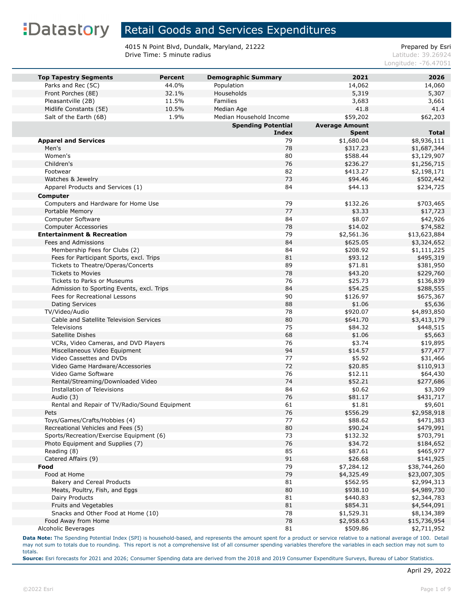### Retail Goods and Services Expenditures

4015 N Point Blvd, Dundalk, Maryland, 21222<br>Drive Time: 5 minute radius and the property of the extendio of the extendio of the Prepared by Esri Drive Time: 5 minute radius

Longitude: -76.47051

| <b>Top Tapestry Segments</b>                  | <b>Percent</b> | <b>Demographic Summary</b> | 2021                  | 2026         |
|-----------------------------------------------|----------------|----------------------------|-----------------------|--------------|
| Parks and Rec (5C)                            | 44.0%          | Population                 | 14,062                | 14,060       |
| Front Porches (8E)                            | 32.1%          | Households                 | 5,319                 | 5,307        |
| Pleasantville (2B)                            | 11.5%          | <b>Families</b>            | 3,683                 | 3,661        |
| Midlife Constants (5E)                        | 10.5%          | Median Age                 | 41.8                  | 41.4         |
| Salt of the Earth (6B)                        | 1.9%           | Median Household Income    | \$59,202              | \$62,203     |
|                                               |                | <b>Spending Potential</b>  | <b>Average Amount</b> |              |
|                                               |                | <b>Index</b>               | <b>Spent</b>          | <b>Total</b> |
| <b>Apparel and Services</b>                   |                | 79                         | \$1,680.04            | \$8,936,111  |
| Men's                                         |                | 78                         | \$317.23              | \$1,687,344  |
| Women's                                       |                | 80                         | \$588.44              | \$3,129,907  |
| Children's                                    |                | 76                         | \$236.27              | \$1,256,715  |
| Footwear                                      |                | 82                         | \$413.27              | \$2,198,171  |
| Watches & Jewelry                             |                | 73                         | \$94.46               | \$502,442    |
| Apparel Products and Services (1)             |                | 84                         | \$44.13               | \$234,725    |
| Computer                                      |                |                            |                       |              |
| Computers and Hardware for Home Use           |                | 79                         | \$132.26              | \$703,465    |
| Portable Memory                               |                | 77                         | \$3.33                | \$17,723     |
| Computer Software                             |                | 84                         | \$8.07                | \$42,926     |
| <b>Computer Accessories</b>                   |                | 78                         | \$14.02               | \$74,582     |
| <b>Entertainment &amp; Recreation</b>         |                | 79                         | \$2,561.36            | \$13,623,884 |
| Fees and Admissions                           |                | 84                         | \$625.05              | \$3,324,652  |
| Membership Fees for Clubs (2)                 |                | 84                         | \$208.92              | \$1,111,225  |
| Fees for Participant Sports, excl. Trips      |                | 81                         | \$93.12               | \$495,319    |
| Tickets to Theatre/Operas/Concerts            |                | 89                         | \$71.81               | \$381,950    |
| <b>Tickets to Movies</b>                      |                | 78                         | \$43.20               | \$229,760    |
| <b>Tickets to Parks or Museums</b>            |                | 76                         | \$25.73               | \$136,839    |
| Admission to Sporting Events, excl. Trips     |                | 84                         | \$54.25               | \$288,555    |
| Fees for Recreational Lessons                 |                | 90                         | \$126.97              | \$675,367    |
| <b>Dating Services</b>                        |                | 88                         | \$1.06                | \$5,636      |
| TV/Video/Audio                                |                | 78                         | \$920.07              | \$4,893,850  |
| Cable and Satellite Television Services       |                | 80                         | \$641.70              | \$3,413,179  |
| Televisions                                   |                | 75                         | \$84.32               | \$448,515    |
| Satellite Dishes                              |                | 68                         | \$1.06                | \$5,663      |
| VCRs, Video Cameras, and DVD Players          |                | 76                         | \$3.74                | \$19,895     |
| Miscellaneous Video Equipment                 |                | 94                         | \$14.57               | \$77,477     |
| Video Cassettes and DVDs                      |                | 77                         | \$5.92                | \$31,466     |
| Video Game Hardware/Accessories               |                | 72                         | \$20.85               | \$110,913    |
| Video Game Software                           |                | 76                         | \$12.11               | \$64,430     |
| Rental/Streaming/Downloaded Video             |                | 74                         | \$52.21               | \$277,686    |
| <b>Installation of Televisions</b>            |                | 84                         | \$0.62                | \$3,309      |
| Audio (3)                                     |                | 76                         | \$81.17               | \$431,717    |
| Rental and Repair of TV/Radio/Sound Equipment |                | 61                         | \$1.81                | \$9,601      |
| Pets                                          |                | 76                         | \$556.29              | \$2,958,918  |
| Toys/Games/Crafts/Hobbies (4)                 |                | 77                         | \$88.62               | \$471,383    |
| Recreational Vehicles and Fees (5)            |                | 80                         | \$90.24               | \$479,991    |
| Sports/Recreation/Exercise Equipment (6)      |                | 73                         | \$132.32              | \$703,791    |
| Photo Equipment and Supplies (7)              |                | 76                         | \$34.72               | \$184,652    |
| Reading (8)                                   |                | 85                         | \$87.61               | \$465,977    |
| Catered Affairs (9)                           |                | 91                         | \$26.68               | \$141,925    |
| Food                                          |                | 79                         | \$7,284.12            | \$38,744,260 |
| Food at Home                                  |                | 79                         | \$4,325.49            | \$23,007,305 |
| Bakery and Cereal Products                    |                | 81                         | \$562.95              | \$2,994,313  |
| Meats, Poultry, Fish, and Eggs                |                | 80                         | \$938.10              | \$4,989,730  |
| Dairy Products                                |                | 81                         | \$440.83              | \$2,344,783  |
| Fruits and Vegetables                         |                | 81                         | \$854.31              | \$4,544,091  |
| Snacks and Other Food at Home (10)            |                | 78                         | \$1,529.31            | \$8,134,389  |
| Food Away from Home                           |                | 78                         | \$2,958.63            | \$15,736,954 |
| Alcoholic Beverages                           |                | 81                         | \$509.86              | \$2,711,952  |

**Data Note:** The Spending Potential Index (SPI) is household-based, and represents the amount spent for a product or service relative to a national average of 100. Detail may not sum to totals due to rounding. This report is not a comprehensive list of all consumer spending variables therefore the variables in each section may not sum to totals.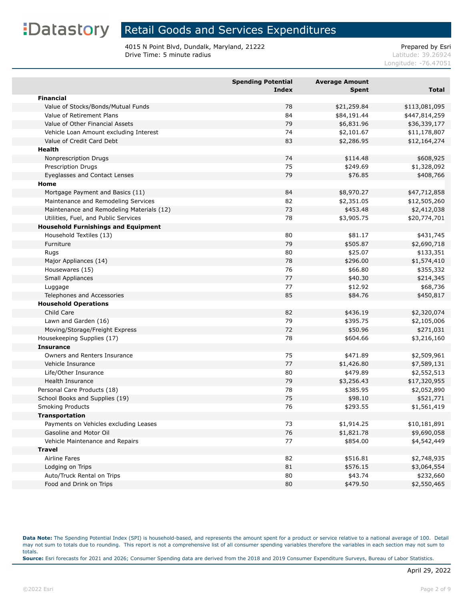### Retail Goods and Services Expenditures

4015 N Point Blvd, Dundalk, Maryland, 21222<br>Drive Time: 5 minute radius and the property of the extendio of the extendio of the Prepared by Esri Drive Time: 5 minute radius

Longitude: -76.47051

|                                            | <b>Spending Potential</b><br><b>Index</b> | <b>Average Amount</b><br><b>Spent</b> | <b>Total</b>  |
|--------------------------------------------|-------------------------------------------|---------------------------------------|---------------|
| <b>Financial</b>                           |                                           |                                       |               |
| Value of Stocks/Bonds/Mutual Funds         | 78                                        | \$21,259.84                           | \$113,081,095 |
| Value of Retirement Plans                  | 84                                        | \$84,191.44                           | \$447,814,259 |
| Value of Other Financial Assets            | 79                                        | \$6,831.96                            | \$36,339,177  |
| Vehicle Loan Amount excluding Interest     | 74                                        | \$2,101.67                            | \$11,178,807  |
| Value of Credit Card Debt                  | 83                                        | \$2,286.95                            | \$12,164,274  |
| Health                                     |                                           |                                       |               |
| Nonprescription Drugs                      | 74                                        | \$114.48                              | \$608,925     |
| Prescription Drugs                         | 75                                        | \$249.69                              | \$1,328,092   |
| Eyeglasses and Contact Lenses              | 79                                        | \$76.85                               | \$408,766     |
| Home                                       |                                           |                                       |               |
| Mortgage Payment and Basics (11)           | 84                                        | \$8,970.27                            | \$47,712,858  |
| Maintenance and Remodeling Services        | 82                                        | \$2,351.05                            | \$12,505,260  |
| Maintenance and Remodeling Materials (12)  | 73                                        | \$453.48                              | \$2,412,038   |
| Utilities, Fuel, and Public Services       | 78                                        | \$3,905.75                            | \$20,774,701  |
| <b>Household Furnishings and Equipment</b> |                                           |                                       |               |
| Household Textiles (13)                    | 80                                        | \$81.17                               | \$431,745     |
| Furniture                                  | 79                                        | \$505.87                              | \$2,690,718   |
| Rugs                                       | 80                                        | \$25.07                               | \$133,351     |
| Major Appliances (14)                      | 78                                        | \$296.00                              | \$1,574,410   |
| Housewares (15)                            | 76                                        | \$66.80                               | \$355,332     |
| Small Appliances                           | 77                                        | \$40.30                               | \$214,345     |
| Luggage                                    | 77                                        | \$12.92                               | \$68,736      |
| Telephones and Accessories                 | 85                                        | \$84.76                               | \$450,817     |
| <b>Household Operations</b>                |                                           |                                       |               |
| Child Care                                 | 82                                        | \$436.19                              | \$2,320,074   |
| Lawn and Garden (16)                       | 79                                        | \$395.75                              | \$2,105,006   |
| Moving/Storage/Freight Express             | 72                                        | \$50.96                               | \$271,031     |
| Housekeeping Supplies (17)                 | 78                                        | \$604.66                              | \$3,216,160   |
| <b>Insurance</b>                           |                                           |                                       |               |
| Owners and Renters Insurance               | 75                                        | \$471.89                              | \$2,509,961   |
| Vehicle Insurance                          | 77                                        | \$1,426.80                            | \$7,589,131   |
| Life/Other Insurance                       | 80                                        | \$479.89                              | \$2,552,513   |
| Health Insurance                           | 79                                        | \$3,256.43                            | \$17,320,955  |
| Personal Care Products (18)                | 78                                        | \$385.95                              | \$2,052,890   |
| School Books and Supplies (19)             | 75                                        | \$98.10                               | \$521,771     |
| <b>Smoking Products</b>                    | 76                                        | \$293.55                              | \$1,561,419   |
| <b>Transportation</b>                      |                                           |                                       |               |
| Payments on Vehicles excluding Leases      | 73                                        | \$1,914.25                            | \$10,181,891  |
| Gasoline and Motor Oil                     | 76                                        | \$1,821.78                            | \$9,690,058   |
| Vehicle Maintenance and Repairs            | 77                                        | \$854.00                              | \$4,542,449   |
| <b>Travel</b>                              |                                           |                                       |               |
| Airline Fares                              | 82                                        | \$516.81                              | \$2,748,935   |
| Lodging on Trips                           | 81                                        | \$576.15                              | \$3,064,554   |
| Auto/Truck Rental on Trips                 | 80                                        | \$43.74                               | \$232,660     |
| Food and Drink on Trips                    | 80                                        | \$479.50                              | \$2,550,465   |

**Data Note:** The Spending Potential Index (SPI) is household-based, and represents the amount spent for a product or service relative to a national average of 100. Detail may not sum to totals due to rounding. This report is not a comprehensive list of all consumer spending variables therefore the variables in each section may not sum to totals. **Source:** Esri forecasts for 2021 and 2026; Consumer Spending data are derived from the 2018 and 2019 Consumer Expenditure Surveys, Bureau of Labor Statistics.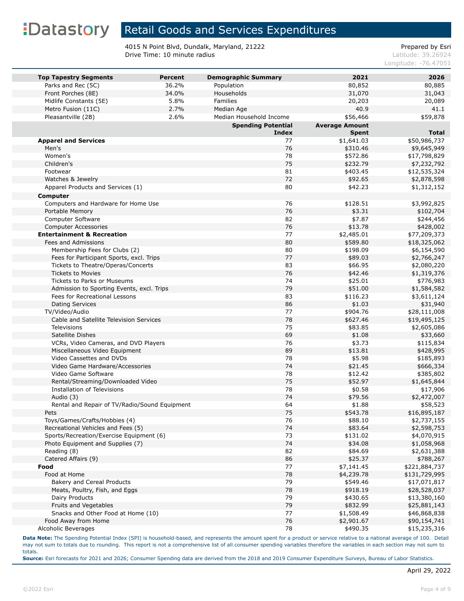### Retail Goods and Services Expenditures

4015 N Point Blvd, Dundalk, Maryland, 21222<br>Drive Time: 10 minute radius<br>Latitude: 39.26924 Drive Time: 10 minute radius

Longitude: -76.47051

| <b>Top Tapestry Segments</b>                                               | <b>Percent</b> | <b>Demographic Summary</b> | 2021                  | 2026                       |
|----------------------------------------------------------------------------|----------------|----------------------------|-----------------------|----------------------------|
| Parks and Rec (5C)                                                         | 36.2%          | Population                 | 80,852                | 80,885                     |
| Front Porches (8E)                                                         | 34.0%          | Households                 | 31,070                | 31,043                     |
| Midlife Constants (5E)                                                     | 5.8%           | Families                   | 20,203                | 20,089                     |
| Metro Fusion (11C)                                                         | 2.7%           | Median Age                 | 40.9                  | 41.1                       |
| Pleasantville (2B)                                                         | 2.6%           | Median Household Income    | \$56,466              | \$59,878                   |
|                                                                            |                | <b>Spending Potential</b>  | <b>Average Amount</b> |                            |
|                                                                            |                | Index                      | <b>Spent</b>          | <b>Total</b>               |
| <b>Apparel and Services</b>                                                |                | 77                         | \$1,641.03            | \$50,986,737               |
| Men's                                                                      |                | 76                         | \$310.46              | \$9,645,949                |
| Women's                                                                    |                | 78                         | \$572.86              | \$17,798,829               |
| Children's                                                                 |                | 75                         | \$232.79              | \$7,232,792                |
| Footwear                                                                   |                | 81                         | \$403.45              | \$12,535,324               |
| Watches & Jewelry                                                          |                | 72                         | \$92.65               | \$2,878,598                |
| Apparel Products and Services (1)                                          |                | 80                         | \$42.23               | \$1,312,152                |
| <b>Computer</b>                                                            |                |                            |                       |                            |
| Computers and Hardware for Home Use                                        |                | 76                         | \$128.51              | \$3,992,825                |
| Portable Memory                                                            |                | 76                         | \$3.31                | \$102,704                  |
| Computer Software                                                          |                | 82                         | \$7.87                | \$244,456                  |
| <b>Computer Accessories</b>                                                |                | 76                         | \$13.78               | \$428,002                  |
| <b>Entertainment &amp; Recreation</b>                                      |                | 77                         | \$2,485.01            | \$77,209,373               |
| Fees and Admissions                                                        |                | 80                         | \$589.80              | \$18,325,062               |
| Membership Fees for Clubs (2)                                              |                | 80                         | \$198.09              | \$6,154,590                |
| Fees for Participant Sports, excl. Trips                                   |                | 77                         | \$89.03               | \$2,766,247                |
| Tickets to Theatre/Operas/Concerts                                         |                | 83                         | \$66.95               |                            |
| <b>Tickets to Movies</b>                                                   |                | 76                         | \$42.46               | \$2,080,220<br>\$1,319,376 |
| Tickets to Parks or Museums                                                |                | 74                         | \$25.01               |                            |
|                                                                            |                | 79                         |                       | \$776,983<br>\$1,584,582   |
| Admission to Sporting Events, excl. Trips<br>Fees for Recreational Lessons |                | 83                         | \$51.00<br>\$116.23   |                            |
|                                                                            |                | 86                         |                       | \$3,611,124                |
| <b>Dating Services</b><br>TV/Video/Audio                                   |                | 77                         | \$1.03<br>\$904.76    | \$31,940                   |
| Cable and Satellite Television Services                                    |                | 78                         | \$627.46              | \$28,111,008               |
| <b>Televisions</b>                                                         |                | 75                         |                       | \$19,495,125               |
|                                                                            |                | 69                         | \$83.85               | \$2,605,086                |
| Satellite Dishes                                                           |                | 76                         | \$1.08                | \$33,660                   |
| VCRs, Video Cameras, and DVD Players<br>Miscellaneous Video Equipment      |                | 89                         | \$3.73<br>\$13.81     | \$115,834                  |
| Video Cassettes and DVDs                                                   |                | 78                         |                       | \$428,995                  |
| Video Game Hardware/Accessories                                            |                | 74                         | \$5.98                | \$185,893<br>\$666,334     |
| Video Game Software                                                        |                | 78                         | \$21.45<br>\$12.42    |                            |
|                                                                            |                | 75                         |                       | \$385,802                  |
| Rental/Streaming/Downloaded Video<br>Installation of Televisions           |                | 78                         | \$52.97<br>\$0.58     | \$1,645,844                |
| Audio (3)                                                                  |                | 74                         | \$79.56               | \$17,906<br>\$2,472,007    |
| Rental and Repair of TV/Radio/Sound Equipment                              |                | 64                         | \$1.88                | \$58,523                   |
|                                                                            |                | 75                         | \$543.78              | \$16,895,187               |
| Pets<br>Toys/Games/Crafts/Hobbies (4)                                      |                | 76                         | \$88.10               | \$2,737,155                |
| Recreational Vehicles and Fees (5)                                         |                | 74                         | \$83.64               | \$2,598,753                |
| Sports/Recreation/Exercise Equipment (6)                                   |                | 73                         | \$131.02              | \$4,070,915                |
| Photo Equipment and Supplies (7)                                           |                | 74                         | \$34.08               | \$1,058,968                |
| Reading (8)                                                                |                | 82                         | \$84.69               | \$2,631,388                |
| Catered Affairs (9)                                                        |                | 86                         | \$25.37               | \$788,267                  |
| Food                                                                       |                | 77                         | \$7,141.45            | \$221,884,737              |
| Food at Home                                                               |                | 78                         | \$4,239.78            | \$131,729,995              |
| Bakery and Cereal Products                                                 |                | 79                         | \$549.46              | \$17,071,817               |
| Meats, Poultry, Fish, and Eggs                                             |                | 78                         | \$918.19              | \$28,528,037               |
| Dairy Products                                                             |                | 79                         | \$430.65              | \$13,380,160               |
| Fruits and Vegetables                                                      |                | 79                         | \$832.99              | \$25,881,143               |
| Snacks and Other Food at Home (10)                                         |                | 77                         | \$1,508.49            | \$46,868,838               |
| Food Away from Home                                                        |                | 76                         | \$2,901.67            | \$90,154,741               |
| Alcoholic Beverages                                                        |                | 78                         | \$490.35              | \$15,235,316               |
|                                                                            |                |                            |                       |                            |

**Data Note:** The Spending Potential Index (SPI) is household-based, and represents the amount spent for a product or service relative to a national average of 100. Detail may not sum to totals due to rounding. This report is not a comprehensive list of all consumer spending variables therefore the variables in each section may not sum to totals.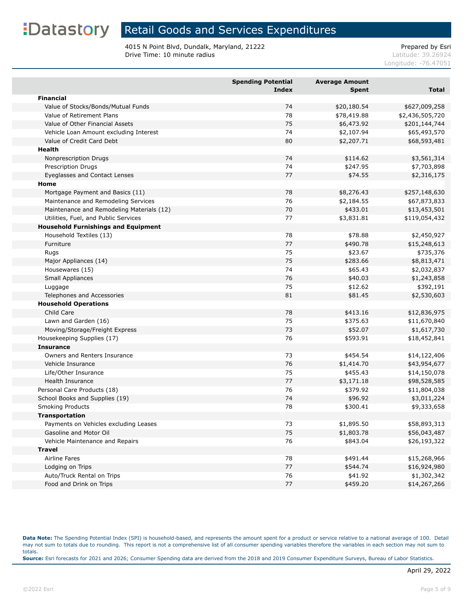### Retail Goods and Services Expenditures

4015 N Point Blvd, Dundalk, Maryland, 21222<br>Drive Time: 10 minute radius<br>Latitude: 39.26924 Drive Time: 10 minute radius

Longitude: -76.47051

|                                            | <b>Spending Potential</b><br>Index | <b>Average Amount</b><br><b>Spent</b> | <b>Total</b>    |
|--------------------------------------------|------------------------------------|---------------------------------------|-----------------|
| <b>Financial</b>                           |                                    |                                       |                 |
| Value of Stocks/Bonds/Mutual Funds         | 74                                 | \$20,180.54                           | \$627,009,258   |
| Value of Retirement Plans                  | 78                                 | \$78,419.88                           | \$2,436,505,720 |
| Value of Other Financial Assets            | 75                                 | \$6,473.92                            | \$201,144,744   |
| Vehicle Loan Amount excluding Interest     | 74                                 | \$2,107.94                            | \$65,493,570    |
| Value of Credit Card Debt                  | 80                                 | \$2,207.71                            | \$68,593,481    |
| Health                                     |                                    |                                       |                 |
| Nonprescription Drugs                      | 74                                 | \$114.62                              | \$3,561,314     |
| Prescription Drugs                         | 74                                 | \$247.95                              | \$7,703,898     |
| Eyeglasses and Contact Lenses              | 77                                 | \$74.55                               | \$2,316,175     |
| Home                                       |                                    |                                       |                 |
| Mortgage Payment and Basics (11)           | 78                                 | \$8,276.43                            | \$257,148,630   |
| Maintenance and Remodeling Services        | 76                                 | \$2,184.55                            | \$67,873,833    |
| Maintenance and Remodeling Materials (12)  | 70                                 | \$433.01                              | \$13,453,501    |
| Utilities, Fuel, and Public Services       | 77                                 | \$3,831.81                            | \$119,054,432   |
| <b>Household Furnishings and Equipment</b> |                                    |                                       |                 |
| Household Textiles (13)                    | 78                                 | \$78.88                               | \$2,450,927     |
| Furniture                                  | 77                                 | \$490.78                              | \$15,248,613    |
| Rugs                                       | 75                                 | \$23.67                               | \$735,376       |
| Major Appliances (14)                      | 75                                 | \$283.66                              | \$8,813,471     |
| Housewares (15)                            | 74                                 | \$65.43                               | \$2,032,837     |
| Small Appliances                           | 76                                 | \$40.03                               | \$1,243,858     |
| Luggage                                    | 75                                 | \$12.62                               | \$392,191       |
| Telephones and Accessories                 | 81                                 | \$81.45                               | \$2,530,603     |
| <b>Household Operations</b>                |                                    |                                       |                 |
| Child Care                                 | 78                                 | \$413.16                              | \$12,836,975    |
| Lawn and Garden (16)                       | 75                                 | \$375.63                              | \$11,670,840    |
| Moving/Storage/Freight Express             | 73                                 | \$52.07                               | \$1,617,730     |
| Housekeeping Supplies (17)                 | 76                                 | \$593.91                              | \$18,452,841    |
| <b>Insurance</b>                           |                                    |                                       |                 |
| Owners and Renters Insurance               | 73                                 | \$454.54                              | \$14,122,406    |
| Vehicle Insurance                          | 76                                 | \$1,414.70                            | \$43,954,677    |
| Life/Other Insurance                       | 75                                 | \$455.43                              | \$14,150,078    |
| <b>Health Insurance</b>                    | 77                                 | \$3,171.18                            | \$98,528,585    |
| Personal Care Products (18)                | 76                                 | \$379.92                              | \$11,804,038    |
| School Books and Supplies (19)             | 74                                 | \$96.92                               | \$3,011,224     |
| <b>Smoking Products</b>                    | 78                                 | \$300.41                              | \$9,333,658     |
| <b>Transportation</b>                      |                                    |                                       |                 |
| Payments on Vehicles excluding Leases      | 73                                 | \$1,895.50                            | \$58,893,313    |
| Gasoline and Motor Oil                     | 75                                 | \$1,803.78                            | \$56,043,487    |
| Vehicle Maintenance and Repairs            | 76                                 | \$843.04                              | \$26,193,322    |
| <b>Travel</b>                              |                                    |                                       |                 |
| Airline Fares                              | 78                                 | \$491.44                              | \$15,268,966    |
| Lodging on Trips                           | 77                                 | \$544.74                              | \$16,924,980    |
| Auto/Truck Rental on Trips                 | 76                                 | \$41.92                               | \$1,302,342     |
| Food and Drink on Trips                    | $77$                               | \$459.20                              | \$14,267,266    |

**Data Note:** The Spending Potential Index (SPI) is household-based, and represents the amount spent for a product or service relative to a national average of 100. Detail may not sum to totals due to rounding. This report is not a comprehensive list of all consumer spending variables therefore the variables in each section may not sum to totals. **Source:** Esri forecasts for 2021 and 2026; Consumer Spending data are derived from the 2018 and 2019 Consumer Expenditure Surveys, Bureau of Labor Statistics.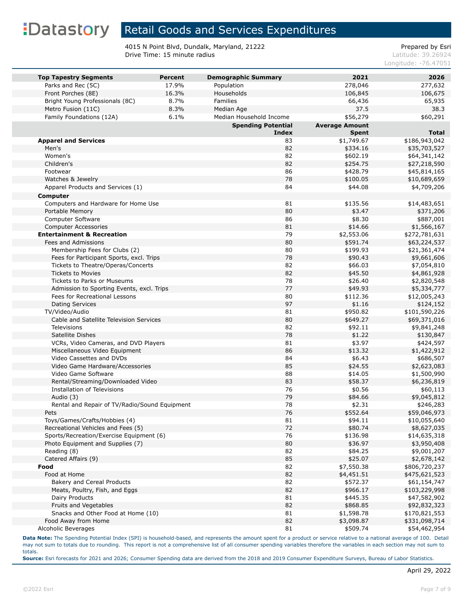### Retail Goods and Services Expenditures

4015 N Point Blvd, Dundalk, Maryland, 21222<br>Drive Time: 15 minute radius<br>Latitude: 39.26924 Drive Time: 15 minute radius

Longitude: -76.47051

| <b>Top Tapestry Segments</b>                  | <b>Percent</b> | <b>Demographic Summary</b> | 2021                  | 2026          |
|-----------------------------------------------|----------------|----------------------------|-----------------------|---------------|
| Parks and Rec (5C)                            | 17.9%          | Population                 | 278,046               | 277,632       |
| Front Porches (8E)                            | 16.3%          | Households                 | 106,845               | 106,675       |
| Bright Young Professionals (8C)               | 8.7%           | Families                   | 66,436                | 65,935        |
| Metro Fusion (11C)                            | 8.3%           | Median Age                 | 37.5                  | 38.3          |
| Family Foundations (12A)                      | 6.1%           | Median Household Income    | \$56,279              | \$60,291      |
|                                               |                | <b>Spending Potential</b>  | <b>Average Amount</b> |               |
|                                               |                | <b>Index</b>               | <b>Spent</b>          | <b>Total</b>  |
| <b>Apparel and Services</b>                   |                | 83                         | \$1,749.67            | \$186,943,042 |
| Men's                                         |                | 82                         | \$334.16              | \$35,703,527  |
| Women's                                       |                | 82                         | \$602.19              | \$64,341,142  |
| Children's                                    |                | 82                         | \$254.75              | \$27,218,590  |
| Footwear                                      |                | 86                         | \$428.79              | \$45,814,165  |
| Watches & Jewelry                             |                | 78                         | \$100.05              | \$10,689,659  |
| Apparel Products and Services (1)             |                | 84                         | \$44.08               | \$4,709,206   |
| Computer                                      |                |                            |                       |               |
| Computers and Hardware for Home Use           |                | 81                         | \$135.56              | \$14,483,651  |
| Portable Memory                               |                | 80                         | \$3.47                | \$371,206     |
| Computer Software                             |                | 86                         | \$8.30                | \$887,001     |
| <b>Computer Accessories</b>                   |                | 81                         | \$14.66               | \$1,566,167   |
| <b>Entertainment &amp; Recreation</b>         |                | 79                         | \$2,553.06            | \$272,781,631 |
| Fees and Admissions                           |                | 80                         | \$591.74              | \$63,224,537  |
| Membership Fees for Clubs (2)                 |                | 80                         | \$199.93              | \$21,361,474  |
| Fees for Participant Sports, excl. Trips      |                | 78                         | \$90.43               | \$9,661,606   |
| Tickets to Theatre/Operas/Concerts            |                | 82                         | \$66.03               | \$7,054,810   |
| <b>Tickets to Movies</b>                      |                | 82                         | \$45.50               | \$4,861,928   |
| <b>Tickets to Parks or Museums</b>            |                | 78                         | \$26.40               | \$2,820,548   |
| Admission to Sporting Events, excl. Trips     |                | 77                         | \$49.93               | \$5,334,777   |
| Fees for Recreational Lessons                 |                | 80                         | \$112.36              | \$12,005,243  |
| <b>Dating Services</b>                        |                | 97                         | \$1.16                | \$124,152     |
| TV/Video/Audio                                |                | 81                         | \$950.82              | \$101,590,226 |
| Cable and Satellite Television Services       |                | 80                         | \$649.27              | \$69,371,016  |
| Televisions                                   |                | 82                         | \$92.11               | \$9,841,248   |
| Satellite Dishes                              |                | 78                         | \$1.22                | \$130,847     |
| VCRs, Video Cameras, and DVD Players          |                | 81                         | \$3.97                | \$424,597     |
| Miscellaneous Video Equipment                 |                | 86                         | \$13.32               | \$1,422,912   |
| Video Cassettes and DVDs                      |                | 84                         | \$6.43                | \$686,507     |
| Video Game Hardware/Accessories               |                | 85                         | \$24.55               | \$2,623,083   |
| Video Game Software                           |                | 88                         | \$14.05               | \$1,500,990   |
| Rental/Streaming/Downloaded Video             |                | 83                         | \$58.37               | \$6,236,819   |
| <b>Installation of Televisions</b>            |                | 76                         | \$0.56                | \$60,113      |
| Audio (3)                                     |                | 79                         | \$84.66               | \$9,045,812   |
| Rental and Repair of TV/Radio/Sound Equipment |                | 78                         | \$2.31                | \$246,283     |
| Pets                                          |                | 76                         | \$552.64              | \$59,046,973  |
| Toys/Games/Crafts/Hobbies (4)                 |                | 81                         | \$94.11               | \$10,055,640  |
| Recreational Vehicles and Fees (5)            |                | 72                         | \$80.74               | \$8,627,035   |
| Sports/Recreation/Exercise Equipment (6)      |                | 76                         | \$136.98              | \$14,635,318  |
| Photo Equipment and Supplies (7)              |                | 80                         | \$36.97               | \$3,950,408   |
| Reading (8)                                   |                | 82                         | \$84.25               | \$9,001,207   |
| Catered Affairs (9)                           |                | 85                         | \$25.07               | \$2,678,142   |
| Food                                          |                | 82                         | \$7,550.38            | \$806,720,237 |
| Food at Home                                  |                | 82                         | \$4,451.51            | \$475,621,523 |
| Bakery and Cereal Products                    |                | 82                         | \$572.37              | \$61,154,747  |
| Meats, Poultry, Fish, and Eggs                |                | 82                         | \$966.17              | \$103,229,998 |
| Dairy Products                                |                | 81                         | \$445.35              | \$47,582,902  |
| Fruits and Vegetables                         |                | 82                         | \$868.85              | \$92,832,323  |
| Snacks and Other Food at Home (10)            |                | 81                         | \$1,598.78            | \$170,821,553 |
| Food Away from Home                           |                | 82                         | \$3,098.87            | \$331,098,714 |
| Alcoholic Beverages                           |                | 81                         | \$509.74              | \$54,462,954  |

**Data Note:** The Spending Potential Index (SPI) is household-based, and represents the amount spent for a product or service relative to a national average of 100. Detail may not sum to totals due to rounding. This report is not a comprehensive list of all consumer spending variables therefore the variables in each section may not sum to totals.

**Source:** Esri forecasts for 2021 and 2026; Consumer Spending data are derived from the 2018 and 2019 Consumer Expenditure Surveys, Bureau of Labor Statistics.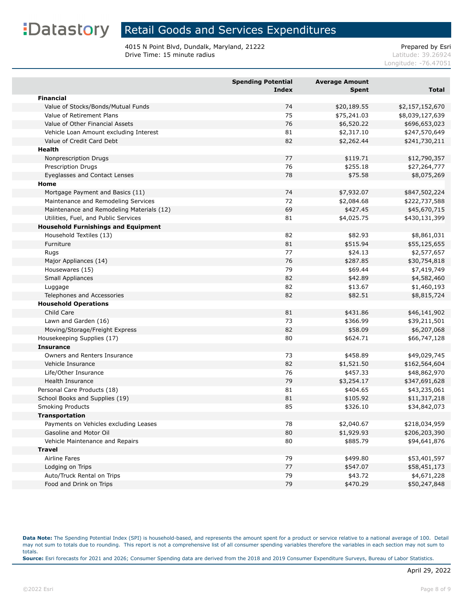### Retail Goods and Services Expenditures

4015 N Point Blvd, Dundalk, Maryland, 21222<br>Drive Time: 15 minute radius<br>Latitude: 39.26924 Drive Time: 15 minute radius

Longitude: -76.47051

|                                            | <b>Spending Potential</b><br><b>Index</b> | <b>Average Amount</b><br><b>Spent</b> | <b>Total</b>    |
|--------------------------------------------|-------------------------------------------|---------------------------------------|-----------------|
| <b>Financial</b>                           |                                           |                                       |                 |
| Value of Stocks/Bonds/Mutual Funds         | 74                                        | \$20,189.55                           | \$2,157,152,670 |
| Value of Retirement Plans                  | 75                                        | \$75,241.03                           | \$8,039,127,639 |
| Value of Other Financial Assets            | 76                                        | \$6,520.22                            | \$696,653,023   |
| Vehicle Loan Amount excluding Interest     | 81                                        | \$2,317.10                            | \$247,570,649   |
| Value of Credit Card Debt                  | 82                                        | \$2,262.44                            | \$241,730,211   |
| <b>Health</b>                              |                                           |                                       |                 |
| Nonprescription Drugs                      | 77                                        | \$119.71                              | \$12,790,357    |
| <b>Prescription Drugs</b>                  | 76                                        | \$255.18                              | \$27,264,777    |
| Eyeglasses and Contact Lenses              | 78                                        | \$75.58                               | \$8,075,269     |
| Home                                       |                                           |                                       |                 |
| Mortgage Payment and Basics (11)           | 74                                        | \$7,932.07                            | \$847,502,224   |
| Maintenance and Remodeling Services        | 72                                        | \$2,084.68                            | \$222,737,588   |
| Maintenance and Remodeling Materials (12)  | 69                                        | \$427.45                              | \$45,670,715    |
| Utilities, Fuel, and Public Services       | 81                                        | \$4,025.75                            | \$430,131,399   |
| <b>Household Furnishings and Equipment</b> |                                           |                                       |                 |
| Household Textiles (13)                    | 82                                        | \$82.93                               | \$8,861,031     |
| Furniture                                  | 81                                        | \$515.94                              | \$55,125,655    |
| Rugs                                       | 77                                        | \$24.13                               | \$2,577,657     |
| Major Appliances (14)                      | 76                                        | \$287.85                              | \$30,754,818    |
| Housewares (15)                            | 79                                        | \$69.44                               | \$7,419,749     |
| Small Appliances                           | 82                                        | \$42.89                               | \$4,582,460     |
| Luggage                                    | 82                                        | \$13.67                               | \$1,460,193     |
| Telephones and Accessories                 | 82                                        | \$82.51                               | \$8,815,724     |
| <b>Household Operations</b>                |                                           |                                       |                 |
| Child Care                                 | 81                                        | \$431.86                              | \$46,141,902    |
| Lawn and Garden (16)                       | 73                                        | \$366.99                              | \$39,211,501    |
| Moving/Storage/Freight Express             | 82                                        | \$58.09                               | \$6,207,068     |
| Housekeeping Supplies (17)                 | 80                                        | \$624.71                              | \$66,747,128    |
| <b>Insurance</b>                           |                                           |                                       |                 |
| Owners and Renters Insurance               | 73                                        | \$458.89                              | \$49,029,745    |
| Vehicle Insurance                          | 82                                        | \$1,521.50                            | \$162,564,604   |
| Life/Other Insurance                       | 76                                        | \$457.33                              | \$48,862,970    |
| Health Insurance                           | 79                                        | \$3,254.17                            | \$347,691,628   |
| Personal Care Products (18)                | 81                                        | \$404.65                              | \$43,235,061    |
| School Books and Supplies (19)             | 81                                        | \$105.92                              | \$11,317,218    |
| <b>Smoking Products</b>                    | 85                                        | \$326.10                              | \$34,842,073    |
| <b>Transportation</b>                      |                                           |                                       |                 |
| Payments on Vehicles excluding Leases      | 78                                        | \$2,040.67                            | \$218,034,959   |
| Gasoline and Motor Oil                     | 80                                        | \$1,929.93                            | \$206,203,390   |
| Vehicle Maintenance and Repairs            | 80                                        | \$885.79                              | \$94,641,876    |
| <b>Travel</b>                              |                                           |                                       |                 |
| Airline Fares                              | 79                                        | \$499.80                              | \$53,401,597    |
| Lodging on Trips                           | 77                                        | \$547.07                              | \$58,451,173    |
| Auto/Truck Rental on Trips                 | 79                                        | \$43.72                               | \$4,671,228     |
| Food and Drink on Trips                    | 79                                        | \$470.29                              | \$50,247,848    |

**Data Note:** The Spending Potential Index (SPI) is household-based, and represents the amount spent for a product or service relative to a national average of 100. Detail may not sum to totals due to rounding. This report is not a comprehensive list of all consumer spending variables therefore the variables in each section may not sum to totals. **Source:** Esri forecasts for 2021 and 2026; Consumer Spending data are derived from the 2018 and 2019 Consumer Expenditure Surveys, Bureau of Labor Statistics.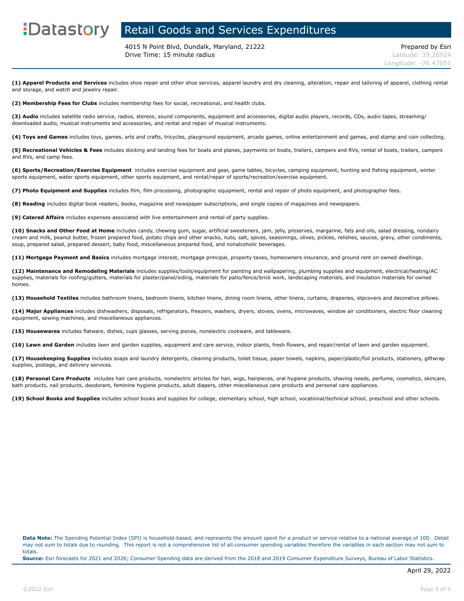### **EDatastory** Retail Goods and Services Expenditures

4015 N Point Blvd, Dundalk, Maryland, 21222 Prepared by Esri **Drive Time: 15 minute radius Latitude: 39.26924** 

**(1) Apparel Products and Services** includes shoe repair and other shoe services, apparel laundry and dry cleaning, alteration, repair and tailoring of apparel, clothing rental and storage, and watch and jewelry repair.

**(2) Membership Fees for Clubs** includes membership fees for social, recreational, and health clubs.

**(3) Audio** includes satellite radio service, radios, stereos, sound components, equipment and accessories, digital audio players, records, CDs, audio tapes, streaming/ downloaded audio, musical instruments and accessories, and rental and repair of musical instruments.

**(4) Toys and Games** includes toys, games, arts and crafts, tricycles, playground equipment, arcade games, online entertainment and games, and stamp and coin collecting.

**(5) Recreational Vehicles & Fees** includes docking and landing fees for boats and planes, payments on boats, trailers, campers and RVs, rental of boats, trailers, campers and RVs, and camp fees.

**(6) Sports/Recreation/Exercise Equipment** includes exercise equipment and gear, game tables, bicycles, camping equipment, hunting and fishing equipment, winter sports equipment, water sports equipment, other sports equipment, and rental/repair of sports/recreation/exercise equipment.

**(7) Photo Equipment and Supplies** includes film, film processing, photographic equipment, rental and repair of photo equipment, and photographer fees.

**(8) Reading** includes digital book readers, books, magazine and newspaper subscriptions, and single copies of magazines and newspapers.

**(9) Catered Affairs** includes expenses associated with live entertainment and rental of party supplies.

**(10) Snacks and Other Food at Home** includes candy, chewing gum, sugar, artificial sweeteners, jam, jelly, preserves, margarine, fats and oils, salad dressing, nondairy cream and milk, peanut butter, frozen prepared food, potato chips and other snacks, nuts, salt, spices, seasonings, olives, pickles, relishes, sauces, gravy, other condiments, soup, prepared salad, prepared dessert, baby food, miscellaneous prepared food, and nonalcoholic beverages.

**(11) Mortgage Payment and Basics** includes mortgage interest, mortgage principal, property taxes, homeowners insurance, and ground rent on owned dwellings.

**(12) Maintenance and Remodeling Materials** includes supplies/tools/equipment for painting and wallpapering, plumbing supplies and equipment, electrical/heating/AC supplies, materials for roofing/gutters, materials for plaster/panel/siding, materials for patio/fence/brick work, landscaping materials, and insulation materials for owned homes.

**(13) Household Textiles** includes bathroom linens, bedroom linens, kitchen linens, dining room linens, other linens, curtains, draperies, slipcovers and decorative pillows.

**(14) Major Appliances** includes dishwashers, disposals, refrigerators, freezers, washers, dryers, stoves, ovens, microwaves, window air conditioners, electric floor cleaning equipment, sewing machines, and miscellaneous appliances.

**(15) Housewares** includes flatware, dishes, cups glasses, serving pieces, nonelectric cookware, and tableware.

**(16) Lawn and Garden** includes lawn and garden supplies, equipment and care service, indoor plants, fresh flowers, and repair/rental of lawn and garden equipment.

**(17) Housekeeping Supplies** includes soaps and laundry detergents, cleaning products, toilet tissue, paper towels, napkins, paper/plastic/foil products, stationery, giftwrap supplies, postage, and delivery services.

**(18) Personal Care Products** includes hair care products, nonelectric articles for hair, wigs, hairpieces, oral hygiene products, shaving needs, perfume, cosmetics, skincare, bath products, nail products, deodorant, feminine hygiene products, adult diapers, other miscellaneous care products and personal care appliances.

**(19) School Books and Supplies** includes school books and supplies for college, elementary school, high school, vocational/technical school, preschool and other schools.

**Data Note:** The Spending Potential Index (SPI) is household-based, and represents the amount spent for a product or service relative to a national average of 100. Detail may not sum to totals due to rounding. This report is not a comprehensive list of all consumer spending variables therefore the variables in each section may not sum to totals.

**Source:** Esri forecasts for 2021 and 2026; Consumer Spending data are derived from the 2018 and 2019 Consumer Expenditure Surveys, Bureau of Labor Statistics.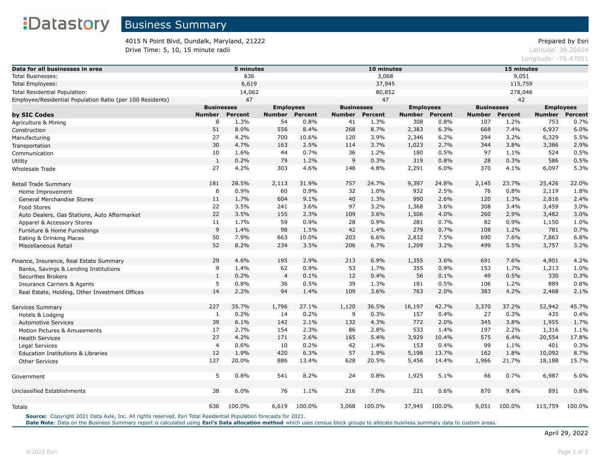4015 N Point Blvd, Dundalk, Maryland, 21222 Prepared by Esri **Drive Time: 5, 10, 15 minute radii Drive Time: 5, 10, 15 minute radii Latitude: 39.26924** 

Longitude: -76.47051

| Data for all businesses in area                           | 5 minutes      |                                       |                |                                       | 10 minutes    |                |        |                                       | 15 minutes    |                |               |                |  |
|-----------------------------------------------------------|----------------|---------------------------------------|----------------|---------------------------------------|---------------|----------------|--------|---------------------------------------|---------------|----------------|---------------|----------------|--|
| <b>Total Businesses:</b>                                  | 636            |                                       |                |                                       | 3,068         |                |        |                                       | 9,051         |                |               |                |  |
| <b>Total Employees:</b>                                   | 6,619          |                                       |                | 37,945                                |               |                |        | 115,759                               |               |                |               |                |  |
| Total Residential Population:                             | 14,062         |                                       |                | 80,852                                |               |                |        | 278,046                               |               |                |               |                |  |
| Employee/Residential Population Ratio (per 100 Residents) |                | 47                                    |                |                                       |               | 47             |        |                                       |               | 42             |               |                |  |
|                                                           |                | <b>Businesses</b><br><b>Employees</b> |                | <b>Businesses</b><br><b>Employees</b> |               |                |        | <b>Businesses</b><br><b>Employees</b> |               |                |               |                |  |
| by SIC Codes                                              | <b>Number</b>  | <b>Percent</b>                        | <b>Number</b>  | <b>Percent</b>                        | <b>Number</b> | <b>Percent</b> | Number | <b>Percent</b>                        | <b>Number</b> | <b>Percent</b> | <b>Number</b> | <b>Percent</b> |  |
| Agriculture & Mining                                      | 8              | 1.3%                                  | 54             | 0.8%                                  | 41            | 1.3%           | 308    | 0.8%                                  | 107           | 1.2%           | 753           | 0.7%           |  |
| Construction                                              | 51             | 8.0%                                  | 556            | 8.4%                                  | 268           | 8.7%           | 2,383  | 6.3%                                  | 668           | 7.4%           | 6,937         | 6.0%           |  |
| Manufacturing                                             | 27             | 4.2%                                  | 700            | 10.6%                                 | 120           | 3.9%           | 2,346  | 6.2%                                  | 294           | 3.2%           | 6,329         | 5.5%           |  |
| Transportation                                            | 30             | 4.7%                                  | 163            | 2.5%                                  | 114           | 3.7%           | 1,023  | 2.7%                                  | 344           | 3.8%           | 3,386         | 2.9%           |  |
| Communication                                             | 10             | 1.6%                                  | 44             | 0.7%                                  | 36            | 1.2%           | 180    | 0.5%                                  | 97            | 1.1%           | 524           | 0.5%           |  |
| Utility                                                   | $\mathbf{1}$   | 0.2%                                  | 79             | 1.2%                                  | 9             | 0.3%           | 319    | 0.8%                                  | 28            | 0.3%           | 586           | 0.5%           |  |
| Wholesale Trade                                           | 27             | 4.2%                                  | 303            | 4.6%                                  | 148           | 4.8%           | 2,291  | 6.0%                                  | 370           | 4.1%           | 6,097         | 5.3%           |  |
| Retail Trade Summary                                      | 181            | 28.5%                                 | 2,113          | 31.9%                                 | 757           | 24.7%          | 9,397  | 24.8%                                 | 2,145         | 23.7%          | 25,426        | 22.0%          |  |
| Home Improvement                                          | 6              | 0.9%                                  | 60             | 0.9%                                  | 32            | 1.0%           | 932    | 2.5%                                  | 76            | 0.8%           | 2,119         | 1.8%           |  |
| General Merchandise Stores                                | 11             | 1.7%                                  | 604            | 9.1%                                  | 40            | 1.3%           | 990    | 2.6%                                  | 120           | 1.3%           | 2,816         | 2.4%           |  |
| Food Stores                                               | 22             | 3.5%                                  | 241            | 3.6%                                  | 97            | 3.2%           | 1,368  | 3.6%                                  | 308           | 3.4%           | 3,459         | 3.0%           |  |
| Auto Dealers, Gas Stations, Auto Aftermarket              | 22             | 3.5%                                  | 155            | 2.3%                                  | 109           | 3.6%           | 1,506  | 4.0%                                  | 260           | 2.9%           | 3,482         | 3.0%           |  |
| Apparel & Accessory Stores                                | 11             | 1.7%                                  | 59             | 0.9%                                  | 28            | 0.9%           | 281    | 0.7%                                  | 82            | 0.9%           | 1,150         | 1.0%           |  |
| Furniture & Home Furnishings                              | $\overline{9}$ | 1.4%                                  | 98             | 1.5%                                  | 42            | 1.4%           | 279    | 0.7%                                  | 108           | 1.2%           | 781           | 0.7%           |  |
| Eating & Drinking Places                                  | 50             | 7.9%                                  | 663            | 10.0%                                 | 203           | 6.6%           | 2,832  | 7.5%                                  | 690           | 7.6%           | 7,863         | 6.8%           |  |
| Miscellaneous Retail                                      | 52             | 8.2%                                  | 234            | 3.5%                                  | 206           | 6.7%           | 1,209  | 3.2%                                  | 499           | 5.5%           | 3,757         | 3.2%           |  |
| Finance, Insurance, Real Estate Summary                   | 29             | 4.6%                                  | 195            | 2.9%                                  | 213           | 6.9%           | 1,355  | 3.6%                                  | 691           | 7.6%           | 4,901         | 4.2%           |  |
| Banks, Savings & Lending Institutions                     | 9              | 1.4%                                  | 62             | 0.9%                                  | 53            | 1.7%           | 355    | 0.9%                                  | 153           | 1.7%           | 1,213         | 1.0%           |  |
| <b>Securities Brokers</b>                                 | $\,1\,$        | 0.2%                                  | $\overline{4}$ | 0.1%                                  | 12            | 0.4%           | 56     | 0.1%                                  | 49            | 0.5%           | 330           | 0.3%           |  |
| <b>Insurance Carriers &amp; Agents</b>                    | 5              | 0.8%                                  | 36             | 0.5%                                  | 39            | 1.3%           | 181    | 0.5%                                  | 106           | 1.2%           | 889           | 0.8%           |  |
| Real Estate, Holding, Other Investment Offices            | 14             | 2.2%                                  | 94             | 1.4%                                  | 109           | 3.6%           | 763    | 2.0%                                  | 383           | 4.2%           | 2,468         | 2.1%           |  |
| Services Summary                                          | 227            | 35.7%                                 | 1,796          | 27.1%                                 | 1,120         | 36.5%          | 16,197 | 42.7%                                 | 3,370         | 37.2%          | 52,942        | 45.7%          |  |
| Hotels & Lodging                                          | 1              | 0.2%                                  | 14             | 0.2%                                  | 9             | 0.3%           | 157    | 0.4%                                  | 27            | 0.3%           | 435           | 0.4%           |  |
| <b>Automotive Services</b>                                | 39             | 6.1%                                  | 142            | 2.1%                                  | 132           | 4.3%           | 772    | 2.0%                                  | 345           | 3.8%           | 1,955         | 1.7%           |  |
| Motion Pictures & Amusements                              | 17             | 2.7%                                  | 154            | 2.3%                                  | 86            | 2.8%           | 533    | 1.4%                                  | 197           | 2.2%           | 1,316         | 1.1%           |  |
| <b>Health Services</b>                                    | 27             | 4.2%                                  | 171            | 2.6%                                  | 165           | 5.4%           | 3,929  | 10.4%                                 | 575           | 6.4%           | 20,554        | 17.8%          |  |
| Legal Services                                            | $\overline{4}$ | 0.6%                                  | 10             | 0.2%                                  | 42            | 1.4%           | 153    | 0.4%                                  | 99            | 1.1%           | 401           | 0.3%           |  |
| Education Institutions & Libraries                        | 12             | 1.9%                                  | 420            | 6.3%                                  | 57            | 1.9%           | 5,198  | 13.7%                                 | 162           | 1.8%           | 10,092        | 8.7%           |  |
| <b>Other Services</b>                                     | 127            | 20.0%                                 | 886            | 13.4%                                 | 628           | 20.5%          | 5,456  | 14.4%                                 | 1,966         | 21.7%          | 18,188        | 15.7%          |  |
| Government                                                | 5              | 0.8%                                  | 541            | 8.2%                                  | 24            | 0.8%           | 1,925  | 5.1%                                  | 66            | 0.7%           | 6,987         | 6.0%           |  |
| Unclassified Establishments                               | 38             | 6.0%                                  | 76             | 1.1%                                  | 216           | 7.0%           | 221    | 0.6%                                  | 870           | 9.6%           | 891           | 0.8%           |  |
| Totals                                                    | 636            | 100.0%                                | 6,619          | 100.0%                                | 3,068         | 100.0%         | 37,945 | 100.0%                                | 9,051         | 100.0%         | 115,759       | 100.0%         |  |

**Source:** Copyright 2021 Data Axle, Inc. All rights reserved. Esri Total Residential Population forecasts for 2021.

Date Note: Data on the Business Summary report is calculated using [Esri's Data allocation method](http://doc.arcgis.com/en/esri-demographics/reference/data-allocation-method.htm) which uses census block groups to allocate business summary data to custom areas.